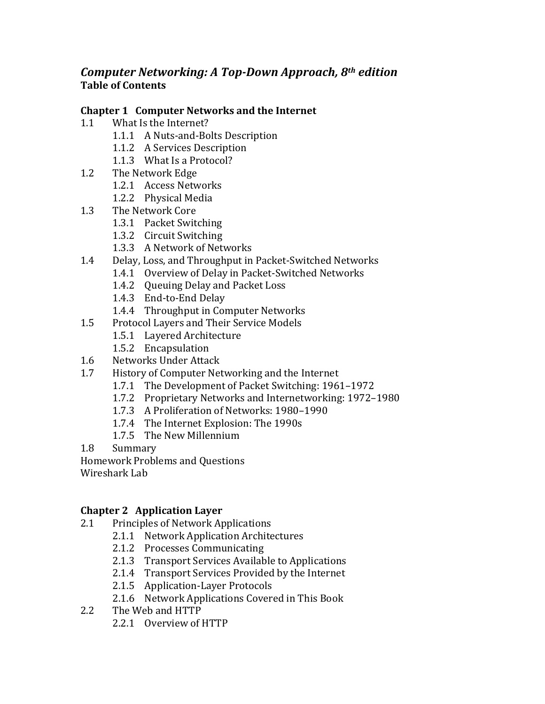# *Computer Networking: A Top-Down Approach, 8th edition* **Table of Contents**

### **Chapter 1 Computer Networks and the Internet**

- 1.1 What Is the Internet?
	- 1.1.1 A Nuts-and-Bolts Description
	- 1.1.2 A Services Description
	- 1.1.3 What Is a Protocol?
- 1.2 The Network Edge
	- 1.2.1 Access Networks
	- 1.2.2 Physical Media
- 1.3 The Network Core
	- 1.3.1 Packet Switching
	- 1.3.2 Circuit Switching
	- 1.3.3 A Network of Networks
- 1.4 Delay, Loss, and Throughput in Packet-Switched Networks
	- 1.4.1 Overview of Delay in Packet-Switched Networks
	- 1.4.2 Oueuing Delay and Packet Loss
	- 1.4.3 End-to-End Delay
	- 1.4.4 Throughput in Computer Networks
- 1.5 Protocol Layers and Their Service Models
	- 1.5.1 Layered Architecture
	- 1.5.2 Encapsulation
- 1.6 Networks Under Attack
- 1.7 History of Computer Networking and the Internet
	- 1.7.1 The Development of Packet Switching: 1961–1972
	- 1.7.2 Proprietary Networks and Internetworking: 1972–1980
	- 1.7.3 A Proliferation of Networks: 1980-1990
	- 1.7.4 The Internet Explosion: The 1990s
	- 1.7.5 The New Millennium
- 1.8 Summary

Homework Problems and Questions

Wireshark Lab

## **Chapter 2 Application Layer**

- 2.1 Principles of Network Applications
	- 2.1.1 Network Application Architectures
	- 2.1.2 Processes Communicating
	- 2.1.3 Transport Services Available to Applications
	- 2.1.4 Transport Services Provided by the Internet
	- 2.1.5 Application-Layer Protocols
	- 2.1.6 Network Applications Covered in This Book
- 2.2 The Web and HTTP
	- 2.2.1 Overview of HTTP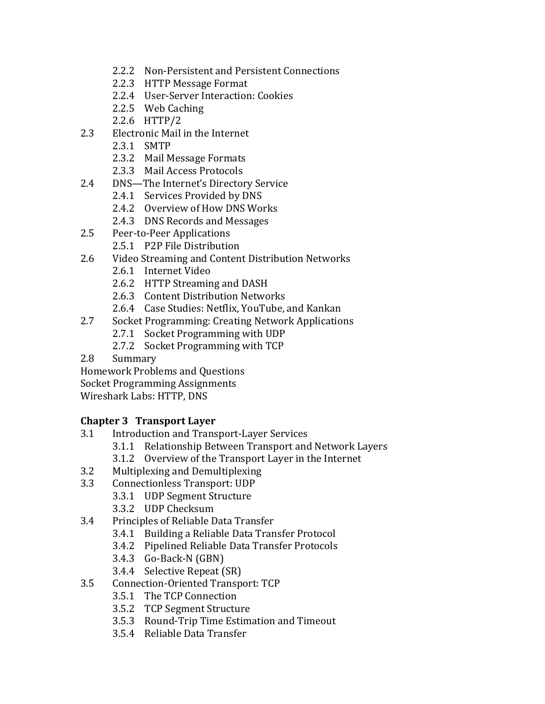- 2.2.2 Non-Persistent and Persistent Connections
- 2.2.3 HTTP Message Format
- 2.2.4 User-Server Interaction: Cookies
- 2.2.5 Web Caching
- 2.2.6 HTTP/2
- 2.3 Electronic Mail in the Internet
	- 2.3.1 SMTP
	- 2.3.2 Mail Message Formats
	- 2.3.3 Mail Access Protocols
- 2.4 DNS—The Internet's Directory Service
	- 2.4.1 Services Provided by DNS
	- 2.4.2 Overview of How DNS Works
	- 2.4.3 DNS Records and Messages
- 2.5 Peer-to-Peer Applications
	- 2.5.1 P2P File Distribution
- 2.6 Video Streaming and Content Distribution Networks
	- 2.6.1 Internet Video
	- 2.6.2 HTTP Streaming and DASH
	- 2.6.3 Content Distribution Networks
	- 2.6.4 Case Studies: Netflix, YouTube, and Kankan
- 2.7 Socket Programming: Creating Network Applications
	- 2.7.1 Socket Programming with UDP
	- 2.7.2 Socket Programming with TCP
- 2.8 Summary

Homework Problems and Questions Socket Programming Assignments

Wireshark Labs: HTTP, DNS

### **Chapter 3 Transport Layer**

- 3.1 Introduction and Transport-Layer Services
	- 3.1.1 Relationship Between Transport and Network Layers
	- 3.1.2 Overview of the Transport Layer in the Internet
- 3.2 Multiplexing and Demultiplexing
- 3.3 Connectionless Transport: UDP
	- 3.3.1 UDP Segment Structure
	- 3.3.2 UDP Checksum
- 3.4 Principles of Reliable Data Transfer
	- 3.4.1 Building a Reliable Data Transfer Protocol
	- 3.4.2 Pipelined Reliable Data Transfer Protocols
	- 3.4.3 Go-Back-N (GBN)
	- 3.4.4 Selective Repeat (SR)
- 3.5 Connection-Oriented Transport: TCP
	- 3.5.1 The TCP Connection
	- 3.5.2 TCP Segment Structure
	- 3.5.3 Round-Trip Time Estimation and Timeout
	- 3.5.4 Reliable Data Transfer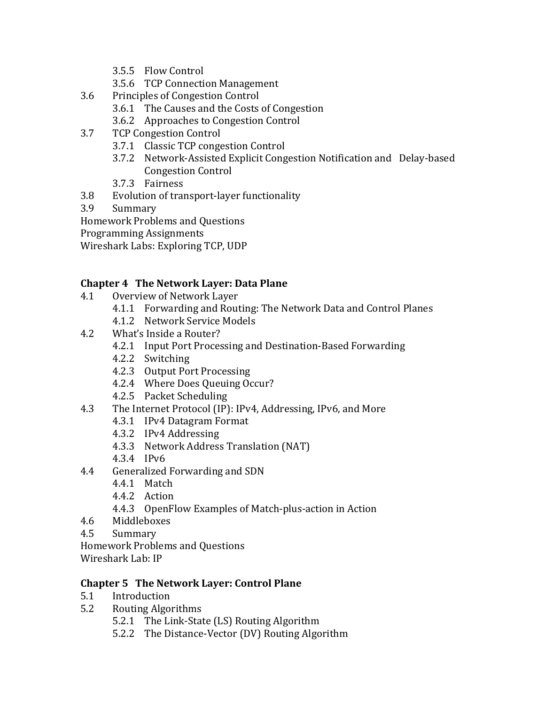- 3.5.5 Flow Control
- 3.5.6 TCP Connection Management
- 3.6 Principles of Congestion Control
	- 3.6.1 The Causes and the Costs of Congestion
	- 3.6.2 Approaches to Congestion Control
- 3.7 TCP Congestion Control
	- 3.7.1 Classic TCP congestion Control
	- 3.7.2 Network-Assisted Explicit Congestion Notification and Delay-based Congestion Control
	- 3.7.3 Fairness
- 3.8 Evolution of transport-layer functionality
- 3.9 Summary

Homework Problems and Questions

Programming Assignments

Wireshark Labs: Exploring TCP, UDP

### **Chapter 4 The Network Layer: Data Plane**

- 4.1 Overview of Network Layer
	- 4.1.1 Forwarding and Routing: The Network Data and Control Planes
	- 4.1.2 Network Service Models
- 4.2 What's Inside a Router?
	- 4.2.1 Input Port Processing and Destination-Based Forwarding
	- 4.2.2 Switching
	- 4.2.3 Output Port Processing
	- 4.2.4 Where Does Queuing Occur?
	- 4.2.5 Packet Scheduling
- 4.3 The Internet Protocol (IP): IPv4, Addressing, IPv6, and More
	- 4.3.1 IPv4 Datagram Format
	- 4.3.2 IPv4 Addressing
	- 4.3.3 Network Address Translation (NAT)
	- 4.3.4 IPv6
- 4.4 Generalized Forwarding and SDN
	- 4.4.1 Match
	- 4.4.2 Action
		- 4.4.3 OpenFlow Examples of Match-plus-action in Action
- 4.6 Middleboxes
- 4.5 Summary

Homework Problems and Ouestions

Wireshark Lab: IP

### **Chapter 5 The Network Layer: Control Plane**

- 5.1 Introduction
- 5.2 Routing Algorithms
	- 5.2.1 The Link-State (LS) Routing Algorithm
	- 5.2.2 The Distance-Vector (DV) Routing Algorithm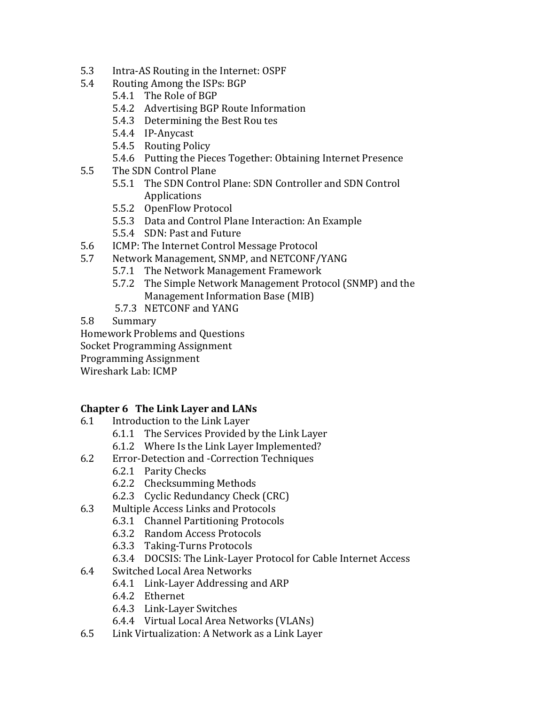- 5.3 Intra-AS Routing in the Internet: OSPF
- 5.4 Routing Among the ISPs: BGP
	- 5.4.1 The Role of BGP
	- 5.4.2 Advertising BGP Route Information
	- 5.4.3 Determining the Best Rou tes
	- 5.4.4 IP-Anycast
	- 5.4.5 Routing Policy
	- 5.4.6 Putting the Pieces Together: Obtaining Internet Presence
- 5.5 The SDN Control Plane
	- 5.5.1 The SDN Control Plane: SDN Controller and SDN Control Applications
	- 5.5.2 OpenFlow Protocol
	- 5.5.3 Data and Control Plane Interaction: An Example
	- 5.5.4 SDN: Past and Future
- 5.6 ICMP: The Internet Control Message Protocol
- 5.7 Network Management, SNMP, and NETCONF/YANG
	- 5.7.1 The Network Management Framework
	- 5.7.2 The Simple Network Management Protocol (SNMP) and the Management Information Base (MIB)
	- 5.7.3 NETCONF and YANG

5.8 Summary

Homework Problems and Questions

Socket Programming Assignment

Programming Assignment

Wireshark Lab: ICMP

### **Chapter 6 The Link Layer and LANs**

- 6.1 Introduction to the Link Layer
	- 6.1.1 The Services Provided by the Link Layer
	- 6.1.2 Where Is the Link Layer Implemented?
- 6.2 Error-Detection and -Correction Techniques
	- 6.2.1 Parity Checks
	- 6.2.2 Checksumming Methods
	- 6.2.3 Cyclic Redundancy Check (CRC)
- 6.3 Multiple Access Links and Protocols
	- 6.3.1 Channel Partitioning Protocols
	- 6.3.2 Random Access Protocols
	- 6.3.3 Taking-Turns Protocols
	- 6.3.4 DOCSIS: The Link-Layer Protocol for Cable Internet Access
- 6.4 Switched Local Area Networks
	- 6.4.1 Link-Layer Addressing and ARP
	- 6.4.2 Ethernet
	- 6.4.3 Link-Layer Switches
	- 6.4.4 Virtual Local Area Networks (VLANs)
- 6.5 Link Virtualization: A Network as a Link Layer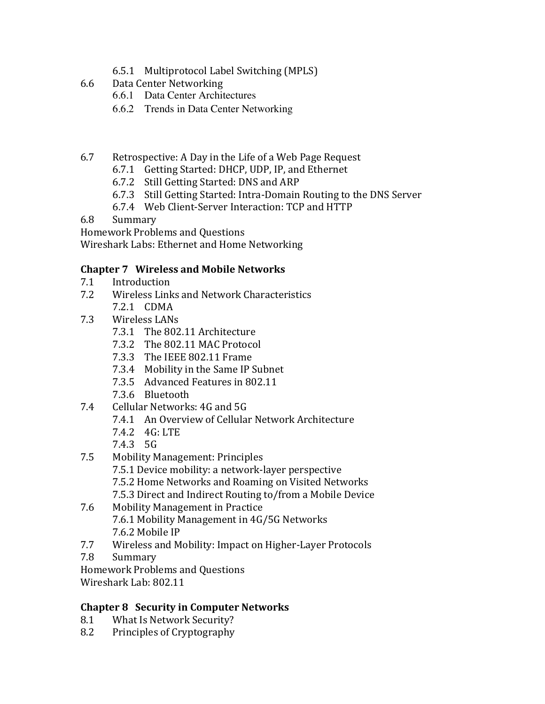- 6.5.1 Multiprotocol Label Switching (MPLS)
- 6.6 Data Center Networking
	- 6.6.1 Data Center Architectures
	- 6.6.2 Trends in Data Center Networking
- 6.7 Retrospective: A Day in the Life of a Web Page Request
	- 6.7.1 Getting Started: DHCP, UDP, IP, and Ethernet
	- 6.7.2 Still Getting Started: DNS and ARP
	- 6.7.3 Still Getting Started: Intra-Domain Routing to the DNS Server
	- 6.7.4 Web Client-Server Interaction: TCP and HTTP
- 6.8 Summary

Homework Problems and Questions

Wireshark Labs: Ethernet and Home Networking

#### **Chapter 7 Wireless and Mobile Networks**

- 7.1 Introduction
- 7.2 Wireless Links and Network Characteristics 7.2.1 CDMA
- 7.3 Wireless LANs
	- 7.3.1 The 802.11 Architecture
	- 7.3.2 The 802.11 MAC Protocol
	- 7.3.3 The IEEE 802.11 Frame
	- 7.3.4 Mobility in the Same IP Subnet
	- 7.3.5 Advanced Features in 802.11
	- 7.3.6 Bluetooth
- 7.4 Cellular Networks: 4G and 5G
	- 7.4.1 An Overview of Cellular Network Architecture
	- 7.4.2 4G: LTE
	- 7.4.3 5G
- 7.5 Mobility Management: Principles
	- 7.5.1 Device mobility: a network-layer perspective
	- 7.5.2 Home Networks and Roaming on Visited Networks
	- 7.5.3 Direct and Indirect Routing to/from a Mobile Device
- 7.6 Mobility Management in Practice 7.6.1 Mobility Management in 4G/5G Networks 7.6.2 Mobile IP
- 7.7 Wireless and Mobility: Impact on Higher-Layer Protocols
- 7.8 Summary
- Homework Problems and Questions

Wireshark Lab: 802.11

### **Chapter 8 Security in Computer Networks**

- 8.1 What Is Network Security?
- 8.2 Principles of Cryptography